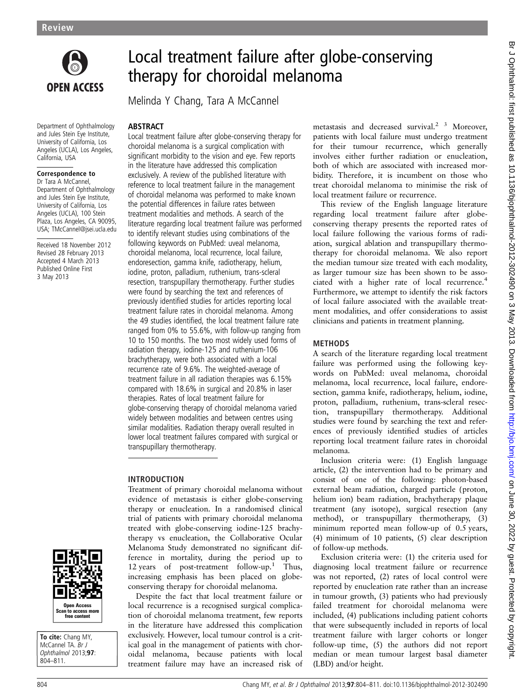

# Local treatment failure after globe-conserving therapy for choroidal melanoma

Melinda Y Chang, Tara A McCannel

### **ABSTRACT**

Department of Ophthalmology and Jules Stein Eye Institute, University of California, Los Angeles (UCLA), Los Angeles, California, USA

### Correspondence to

Dr Tara A McCannel, Department of Ophthalmology and Jules Stein Eye Institute, University of California, Los Angeles (UCLA), 100 Stein Plaza, Los Angeles, CA 90095, USA; TMcCannel@jsei.ucla.edu

Received 18 November 2012 Revised 28 February 2013 Accepted 4 March 2013 Published Online First 3 May 2013



To cite: Chang MY. McCannel TA. Br J Ophthalmol 2013;97: 804–811.

Local treatment failure after globe-conserving therapy for choroidal melanoma is a surgical complication with significant morbidity to the vision and eye. Few reports in the literature have addressed this complication exclusively. A review of the published literature with reference to local treatment failure in the management of choroidal melanoma was performed to make known the potential differences in failure rates between treatment modalities and methods. A search of the literature regarding local treatment failure was performed to identify relevant studies using combinations of the following keywords on PubMed: uveal melanoma, choroidal melanoma, local recurrence, local failure, endoresection, gamma knife, radiotherapy, helium, iodine, proton, palladium, ruthenium, trans-scleral resection, transpupillary thermotherapy. Further studies were found by searching the text and references of previously identified studies for articles reporting local treatment failure rates in choroidal melanoma. Among the 49 studies identified, the local treatment failure rate ranged from 0% to 55.6%, with follow-up ranging from 10 to 150 months. The two most widely used forms of radiation therapy, iodine-125 and ruthenium-106 brachytherapy, were both associated with a local recurrence rate of 9.6%. The weighted-average of treatment failure in all radiation therapies was 6.15% compared with 18.6% in surgical and 20.8% in laser therapies. Rates of local treatment failure for globe-conserving therapy of choroidal melanoma varied widely between modalities and between centres using similar modalities. Radiation therapy overall resulted in lower local treatment failures compared with surgical or transpupillary thermotherapy.

# INTRODUCTION

Treatment of primary choroidal melanoma without evidence of metastasis is either globe-conserving therapy or enucleation. In a randomised clinical trial of patients with primary choroidal melanoma treated with globe-conserving iodine-125 brachytherapy vs enucleation, the Collaborative Ocular Melanoma Study demonstrated no significant difference in mortality, during the period up to 12 years of post-treatment follow-up.<sup>1</sup> Thus, increasing emphasis has been placed on globeconserving therapy for choroidal melanoma.

Despite the fact that local treatment failure or local recurrence is a recognised surgical complication of choroidal melanoma treatment, few reports in the literature have addressed this complication exclusively. However, local tumour control is a critical goal in the management of patients with choroidal melanoma, because patients with local treatment failure may have an increased risk of

metastasis and decreased survival.<sup>2</sup> <sup>3</sup> Moreover, patients with local failure must undergo treatment for their tumour recurrence, which generally involves either further radiation or enucleation, both of which are associated with increased morbidity. Therefore, it is incumbent on those who treat choroidal melanoma to minimise the risk of local treatment failure or recurrence.

This review of the English language literature regarding local treatment failure after globeconserving therapy presents the reported rates of local failure following the various forms of radiation, surgical ablation and transpupillary thermotherapy for choroidal melanoma. We also report the median tumour size treated with each modality, as larger tumour size has been shown to be associated with a higher rate of local recurrence.4 Furthermore, we attempt to identify the risk factors of local failure associated with the available treatment modalities, and offer considerations to assist clinicians and patients in treatment planning.

# **METHODS**

A search of the literature regarding local treatment failure was performed using the following keywords on PubMed: uveal melanoma, choroidal melanoma, local recurrence, local failure, endoresection, gamma knife, radiotherapy, helium, iodine, proton, palladium, ruthenium, trans-scleral resection, transpupillary thermotherapy. Additional studies were found by searching the text and references of previously identified studies of articles reporting local treatment failure rates in choroidal melanoma.

Inclusion criteria were: (1) English language article, (2) the intervention had to be primary and consist of one of the following: photon-based external beam radiation, charged particle (proton, helium ion) beam radiation, brachytherapy plaque treatment (any isotope), surgical resection (any method), or transpupillary thermotherapy, (3) minimum reported mean follow-up of 0.5 years, (4) minimum of 10 patients, (5) clear description of follow-up methods.

Exclusion criteria were: (1) the criteria used for diagnosing local treatment failure or recurrence was not reported, (2) rates of local control were reported by enucleation rate rather than an increase in tumour growth, (3) patients who had previously failed treatment for choroidal melanoma were included, (4) publications including patient cohorts that were subsequently included in reports of local treatment failure with larger cohorts or longer follow-up time, (5) the authors did not report median or mean tumour largest basal diameter (LBD) and/or height.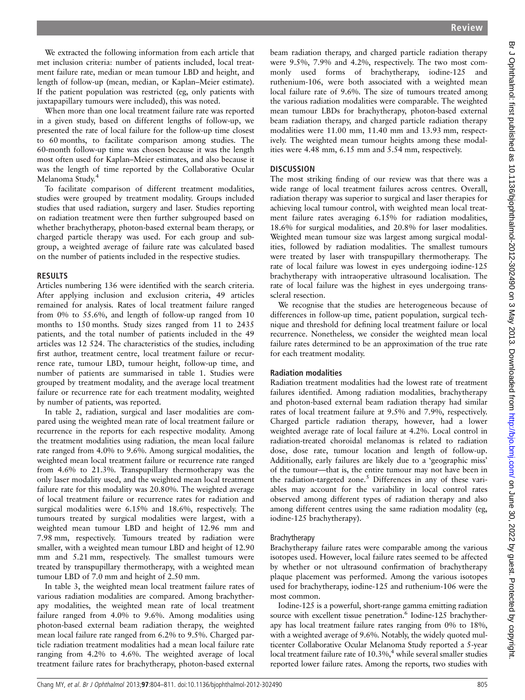We extracted the following information from each article that met inclusion criteria: number of patients included, local treatment failure rate, median or mean tumour LBD and height, and length of follow-up (mean, median, or Kaplan–Meier estimate). If the patient population was restricted (eg, only patients with juxtapapillary tumours were included), this was noted.

When more than one local treatment failure rate was reported in a given study, based on different lengths of follow-up, we presented the rate of local failure for the follow-up time closest to 60 months, to facilitate comparison among studies. The 60-month follow-up time was chosen because it was the length most often used for Kaplan–Meier estimates, and also because it was the length of time reported by the Collaborative Ocular Melanoma Study.<sup>4</sup>

To facilitate comparison of different treatment modalities, studies were grouped by treatment modality. Groups included studies that used radiation, surgery and laser. Studies reporting on radiation treatment were then further subgrouped based on whether brachytherapy, photon-based external beam therapy, or charged particle therapy was used. For each group and subgroup, a weighted average of failure rate was calculated based on the number of patients included in the respective studies.

### RESULTS

Articles numbering 136 were identified with the search criteria. After applying inclusion and exclusion criteria, 49 articles remained for analysis. Rates of local treatment failure ranged from 0% to 55.6%, and length of follow-up ranged from 10 months to 150 months. Study sizes ranged from 11 to 2435 patients, and the total number of patients included in the 49 articles was 12 524. The characteristics of the studies, including first author, treatment centre, local treatment failure or recurrence rate, tumour LBD, tumour height, follow-up time, and number of patients are summarised in table 1. Studies were grouped by treatment modality, and the average local treatment failure or recurrence rate for each treatment modality, weighted by number of patients, was reported.

In table 2, radiation, surgical and laser modalities are compared using the weighted mean rate of local treatment failure or recurrence in the reports for each respective modality. Among the treatment modalities using radiation, the mean local failure rate ranged from 4.0% to 9.6%. Among surgical modalities, the weighted mean local treatment failure or recurrence rate ranged from 4.6% to 21.3%. Transpupillary thermotherapy was the only laser modality used, and the weighted mean local treatment failure rate for this modality was 20.80%. The weighted average of local treatment failure or recurrence rates for radiation and surgical modalities were 6.15% and 18.6%, respectively. The tumours treated by surgical modalities were largest, with a weighted mean tumour LBD and height of 12.96 mm and 7.98 mm, respectively. Tumours treated by radiation were smaller, with a weighted mean tumour LBD and height of 12.90 mm and 5.21 mm, respectively. The smallest tumours were treated by transpupillary thermotherapy, with a weighted mean tumour LBD of 7.0 mm and height of 2.50 mm.

In table 3, the weighted mean local treatment failure rates of various radiation modalities are compared. Among brachytherapy modalities, the weighted mean rate of local treatment failure ranged from 4.0% to 9.6%. Among modalities using photon-based external beam radiation therapy, the weighted mean local failure rate ranged from 6.2% to 9.5%. Charged particle radiation treatment modalities had a mean local failure rate ranging from 4.2% to 4.6%. The weighted average of local treatment failure rates for brachytherapy, photon-based external

beam radiation therapy, and charged particle radiation therapy were 9.5%, 7.9% and 4.2%, respectively. The two most commonly used forms of brachytherapy, iodine-125 and ruthenium-106, were both associated with a weighted mean local failure rate of 9.6%. The size of tumours treated among the various radiation modalities were comparable. The weighted mean tumour LBDs for brachytherapy, photon-based external beam radiation therapy, and charged particle radiation therapy modalities were 11.00 mm, 11.40 mm and 13.93 mm, respectively. The weighted mean tumour heights among these modalities were 4.48 mm, 6.15 mm and 5.54 mm, respectively. **DISCUSSION** The most striking finding of our review was that there was a wide range of local treatment failures across centres. Overall,

radiation therapy was superior to surgical and laser therapies for achieving local tumour control, with weighted mean local treatment failure rates averaging 6.15% for radiation modalities, 18.6% for surgical modalities, and 20.8% for laser modalities. Weighted mean tumour size was largest among surgical modalities, followed by radiation modalities. The smallest tumours were treated by laser with transpupillary thermotherapy. The rate of local failure was lowest in eyes undergoing iodine-125 brachytherapy with intraoperative ultrasound localisation. The rate of local failure was the highest in eyes undergoing transscleral resection.

We recognise that the studies are heterogeneous because of differences in follow-up time, patient population, surgical technique and threshold for defining local treatment failure or local recurrence. Nonetheless, we consider the weighted mean local failure rates determined to be an approximation of the true rate for each treatment modality.

### Radiation modalities

Radiation treatment modalities had the lowest rate of treatment failures identified. Among radiation modalities, brachytherapy and photon-based external beam radiation therapy had similar rates of local treatment failure at 9.5% and 7.9%, respectively. Charged particle radiation therapy, however, had a lower weighted average rate of local failure at 4.2%. Local control in radiation-treated choroidal melanomas is related to radiation dose, dose rate, tumour location and length of follow-up. Additionally, early failures are likely due to a 'geographic miss' of the tumour—that is, the entire tumour may not have been in the radiation-targeted zone.<sup>5</sup> Differences in any of these variables may account for the variability in local control rates observed among different types of radiation therapy and also among different centres using the same radiation modality (eg, iodine-125 brachytherapy).

#### Brachytherapy

Brachytherapy failure rates were comparable among the various isotopes used. However, local failure rates seemed to be affected by whether or not ultrasound confirmation of brachytherapy plaque placement was performed. Among the various isotopes used for brachytherapy, iodine-125 and ruthenium-106 were the most common.

Iodine-125 is a powerful, short-range gamma emitting radiation source with excellent tissue penetration.<sup>6</sup> Iodine-125 brachytherapy has local treatment failure rates ranging from 0% to 18%, with a weighted average of 9.6%. Notably, the widely quoted multicenter Collaborative Ocular Melanoma Study reported a 5-year local treatment failure rate of  $10.3\%$ , while several smaller studies reported lower failure rates. Among the reports, two studies with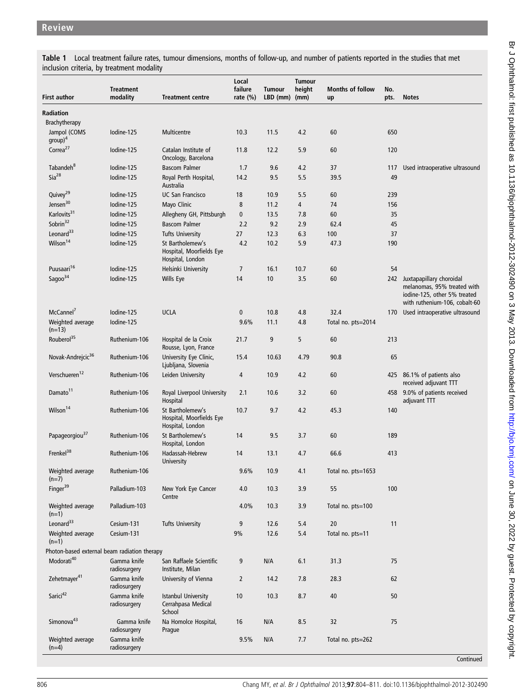Table 1 Local treatment failure rates, tumour dimensions, months of follow-up, and number of patients reported in the studies that met inclusion criteria, by treatment modality

| First author                                 | <b>Treatment</b><br>modality | <b>Treatment centre</b>                                          | Local<br>failure<br>rate $(\%)$ | <b>Tumour</b><br>$LBD$ (mm) (mm) | <b>Tumour</b><br>height | <b>Months of follow</b><br>up | No.<br>pts. | <b>Notes</b>                                                                                                             |
|----------------------------------------------|------------------------------|------------------------------------------------------------------|---------------------------------|----------------------------------|-------------------------|-------------------------------|-------------|--------------------------------------------------------------------------------------------------------------------------|
| Radiation                                    |                              |                                                                  |                                 |                                  |                         |                               |             |                                                                                                                          |
| <b>Brachytherapy</b>                         |                              |                                                                  |                                 |                                  |                         |                               |             |                                                                                                                          |
| Jampol (COMS<br>$group)^4$                   | Iodine-125                   | Multicentre                                                      | 10.3                            | 11.5                             | 4.2                     | 60                            | 650         |                                                                                                                          |
| Correa <sup>27</sup>                         | Iodine-125                   | Catalan Institute of<br>Oncology, Barcelona                      | 11.8                            | 12.2                             | 5.9                     | 60                            | 120         |                                                                                                                          |
| Tabandeh <sup>8</sup>                        | Iodine-125                   | <b>Bascom Palmer</b>                                             | 1.7                             | 9.6                              | 4.2                     | 37                            | 117         | Used intraoperative ultrasound                                                                                           |
| $Sia^{28}$                                   | Iodine-125                   | Royal Perth Hospital,<br>Australia                               | 14.2                            | 9.5                              | 5.5                     | 39.5                          | 49          |                                                                                                                          |
| Quivey <sup>29</sup>                         | Iodine-125                   | <b>UC San Francisco</b>                                          | 18                              | 10.9                             | 5.5                     | 60                            | 239         |                                                                                                                          |
| Jensen <sup>30</sup>                         | Iodine-125                   | Mayo Clinic                                                      | 8                               | 11.2                             | 4                       | 74                            | 156         |                                                                                                                          |
| Karlovits <sup>31</sup>                      | Iodine-125                   | Allegheny GH, Pittsburgh                                         | $\mathbf{0}$                    | 13.5                             | 7.8                     | 60                            | 35          |                                                                                                                          |
| Sobrin <sup>32</sup>                         | Iodine-125                   | <b>Bascom Palmer</b>                                             | 2.2                             | 9.2                              | 2.9                     | 62.4                          | 45          |                                                                                                                          |
| Leonard $33$                                 |                              |                                                                  |                                 |                                  |                         |                               |             |                                                                                                                          |
|                                              | Iodine-125                   | <b>Tufts University</b>                                          | 27                              | 12.3                             | 6.3                     | 100                           | 37          |                                                                                                                          |
| Wilson <sup>14</sup>                         | Iodine-125                   | St Bartholemew's<br>Hospital, Moorfields Eye<br>Hospital, London | 4.2                             | 10.2                             | 5.9                     | 47.3                          | 190         |                                                                                                                          |
| Puusaari <sup>16</sup>                       | Iodine-125                   | Helsinki University                                              | $\overline{7}$                  | 16.1                             | 10.7                    | 60                            | 54          |                                                                                                                          |
| Sagoo $34$                                   | Iodine-125                   | Wills Eye                                                        | 14                              | 10                               | 3.5                     | 60                            | 242         | Juxtapapillary choroidal<br>melanomas, 95% treated with<br>iodine-125, other 5% treated<br>with ruthenium-106, cobalt-60 |
| McCannel <sup>'</sup>                        | Iodine-125                   | <b>UCLA</b>                                                      | 0                               | 10.8                             | 4.8                     | 32.4                          |             | 170 Used intraoperative ultrasound                                                                                       |
| Weighted average<br>$(n=13)$                 | Iodine-125                   |                                                                  | 9.6%                            | 11.1                             | 4.8                     | Total no. pts=2014            |             |                                                                                                                          |
| Rouberol <sup>35</sup>                       | Ruthenium-106                | Hospital de la Croix<br>Rousse, Lyon, France                     | 21.7                            | 9                                | 5                       | 60                            | 213         |                                                                                                                          |
| Novak-Andrejcic <sup>36</sup>                | Ruthenium-106                | University Eye Clinic,<br>Ljubljana, Slovenia                    | 15.4                            | 10.63                            | 4.79                    | 90.8                          | 65          |                                                                                                                          |
| Verschueren <sup>12</sup>                    | Ruthenium-106                | Leiden University                                                | 4                               | 10.9                             | 4.2                     | 60                            | 425         | 86.1% of patients also<br>received adjuvant TTT                                                                          |
| Damato <sup>11</sup>                         | Ruthenium-106                | Royal Liverpool University<br>Hospital                           | 2.1                             | 10.6                             | 3.2                     | 60                            |             | 458 9.0% of patients received<br>adjuvant TTT                                                                            |
| Wilson <sup>14</sup>                         | Ruthenium-106                | St Bartholemew's<br>Hospital, Moorfields Eye<br>Hospital, London | 10.7                            | 9.7                              | 4.2                     | 45.3                          | 140         |                                                                                                                          |
| Papageorgiou <sup>37</sup>                   | Ruthenium-106                | St Bartholemew's<br>Hospital, London                             | 14                              | 9.5                              | 3.7                     | 60                            | 189         |                                                                                                                          |
| Frenkel <sup>38</sup>                        | Ruthenium-106                | Hadassah-Hebrew<br>University                                    | 14                              | 13.1                             | 4.7                     | 66.6                          | 413         |                                                                                                                          |
| Weighted average<br>$(n=7)$                  | Ruthenium-106                |                                                                  | 9.6%                            | $10.9$                           | 4.1                     | Total no. pts=1653            |             |                                                                                                                          |
| Finger <sup>39</sup>                         | Palladium-103                | New York Eye Cancer<br>Centre                                    | 4.0                             | 10.3                             | 3.9                     | 55                            | 100         |                                                                                                                          |
| Weighted average<br>$(n=1)$                  | Palladium-103                |                                                                  | 4.0%                            | 10.3                             | 3.9                     | Total no. pts=100             |             |                                                                                                                          |
| Leonard <sup>33</sup>                        | Cesium-131                   | <b>Tufts University</b>                                          | 9                               | 12.6                             | 5.4                     | 20                            | 11          |                                                                                                                          |
| Weighted average<br>$(n=1)$                  | Cesium-131                   |                                                                  | 9%                              | 12.6                             | 5.4                     | Total no. pts=11              |             |                                                                                                                          |
| Photon-based external beam radiation therapy |                              |                                                                  |                                 |                                  |                         |                               |             |                                                                                                                          |
| Modorati <sup>40</sup>                       | Gamma knife<br>radiosurgery  | San Raffaele Scientific<br>Institute, Milan                      | 9                               | N/A                              | 6.1                     | 31.3                          | 75          |                                                                                                                          |
| Zehetmayer <sup>41</sup>                     | Gamma knife<br>radiosurgery  | University of Vienna                                             | $\overline{2}$                  | 14.2                             | 7.8                     | 28.3                          | 62          |                                                                                                                          |
| Sarici <sup>42</sup>                         | Gamma knife<br>radiosurgery  | <b>Istanbul University</b><br>Cerrahpasa Medical<br>School       | 10                              | 10.3                             | 8.7                     | 40                            | 50          |                                                                                                                          |
| Simonova <sup>43</sup>                       | Gamma knife<br>radiosurgery  | Na Homolce Hospital,<br>Prague                                   | 16                              | N/A                              | 8.5                     | 32                            | 75          |                                                                                                                          |
| Weighted average<br>$(n=4)$                  | Gamma knife<br>radiosurgery  |                                                                  | 9.5%                            | N/A                              | 7.7                     | Total no. pts=262             |             |                                                                                                                          |

**Continued**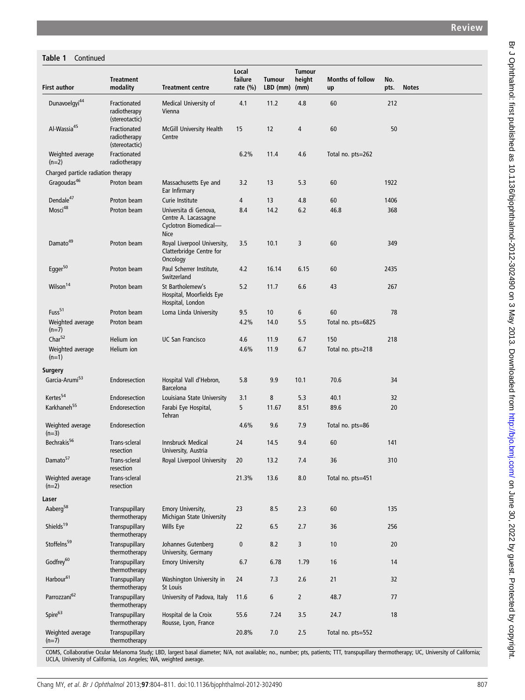# Table 1 Continued

| <b>First author</b>                | <b>Treatment</b><br>modality                   | <b>Treatment centre</b>                                                               | Local<br>failure<br>rate $(\%)$ | <b>Tumour</b><br>$LBD$ (mm) | <b>Tumour</b><br>height<br>(mm) | <b>Months of follow</b><br>up | No.<br>pts. | <b>Notes</b> |
|------------------------------------|------------------------------------------------|---------------------------------------------------------------------------------------|---------------------------------|-----------------------------|---------------------------------|-------------------------------|-------------|--------------|
| Dunavoelgyi <sup>44</sup>          | Fractionated<br>radiotherapy<br>(stereotactic) | Medical University of<br>Vienna                                                       | 4.1                             | 11.2                        | 4.8                             | 60                            | 212         |              |
| Al-Wassia <sup>45</sup>            | Fractionated<br>radiotherapy<br>(stereotactic) | McGill University Health<br>Centre                                                    | 15                              | 12                          | 4                               | 60                            | 50          |              |
| Weighted average<br>$(n=2)$        | Fractionated<br>radiotherapy                   |                                                                                       | 6.2%                            | 11.4                        | 4.6                             | Total no. pts=262             |             |              |
| Charged particle radiation therapy |                                                |                                                                                       |                                 |                             |                                 |                               |             |              |
| Gragoudas <sup>46</sup>            | Proton beam                                    | Massachusetts Eye and<br>Ear Infirmary                                                | 3.2                             | 13                          | 5.3                             | 60                            | 1922        |              |
| Dendale <sup>47</sup>              | Proton beam                                    | Curie Institute                                                                       | 4                               | 13                          | 4.8                             | 60                            | 1406        |              |
| Mosci48                            | Proton beam                                    | Universita di Genova,<br>Centre A. Lacassagne<br>Cyclotron Biomedical-<br><b>Nice</b> | 8.4                             | 14.2                        | 6.2                             | 46.8                          | 368         |              |
| Damato <sup>49</sup>               | Proton beam                                    | Royal Liverpool University,<br>Clatterbridge Centre for<br>Oncology                   | 3.5                             | 10.1                        | 3                               | 60                            | 349         |              |
| Egger <sup>50</sup>                | Proton beam                                    | Paul Scherrer Institute,<br>Switzerland                                               | 4.2                             | 16.14                       | 6.15                            | 60                            | 2435        |              |
| Wilson <sup>14</sup>               | Proton beam                                    | St Bartholemew's<br>Hospital, Moorfields Eye<br>Hospital, London                      | 5.2                             | 11.7                        | 6.6                             | 43                            | 267         |              |
| Fuss <sup>51</sup>                 | Proton beam                                    | Loma Linda University                                                                 | 9.5                             | 10                          | 6                               | 60                            | 78          |              |
| Weighted average<br>$(n=7)$        | Proton beam                                    |                                                                                       | 4.2%                            | 14.0                        | 5.5                             | Total no. pts=6825            |             |              |
| Char <sup>52</sup>                 | Helium ion                                     | <b>UC San Francisco</b>                                                               | 4.6                             | 11.9                        | 6.7                             | 150                           | 218         |              |
| Weighted average<br>$(n=1)$        | Helium ion                                     |                                                                                       | 4.6%                            | 11.9                        | 6.7                             | Total no. pts=218             |             |              |
| Surgery                            |                                                |                                                                                       |                                 |                             |                                 |                               |             |              |
| Garcia-Arumi <sup>53</sup>         | Endoresection                                  | Hospital Vall d'Hebron,<br><b>Barcelona</b>                                           | 5.8                             | 9.9                         | 10.1                            | 70.6                          | 34          |              |
| Kertes <sup>54</sup>               | Endoresection                                  | Louisiana State University                                                            | 3.1                             | 8                           | 5.3                             | 40.1                          | 32          |              |
| Karkhaneh <sup>55</sup>            | Endoresection                                  | Farabi Eye Hospital,<br>Tehran                                                        | 5                               | 11.67                       | 8.51                            | 89.6                          | 20          |              |
| Weighted average<br>$(n=3)$        | Endoresection                                  |                                                                                       | 4.6%                            | 9.6                         | 7.9                             | Total no. pts=86              |             |              |
| Bechrakis <sup>56</sup>            | Trans-scleral<br>resection                     | <b>Innsbruck Medical</b><br>University, Austria                                       | 24                              | 14.5                        | 9.4                             | 60                            | 141         |              |
| Damato <sup>57</sup>               | Trans-scleral<br>resection                     | Royal Liverpool University                                                            | 20                              | $13.2$                      | $7.4\,$                         | $36\,$                        | 310         |              |
| Weighted average<br>$(n=2)$        | Trans-scleral<br>resection                     |                                                                                       | 21.3%                           | 13.6                        | 8.0                             | Total no. pts=451             |             |              |
| Laser                              |                                                |                                                                                       |                                 |                             |                                 |                               |             |              |
| Aaberg <sup>58</sup>               | Transpupillary<br>thermotherapy                | Emory University,<br>Michigan State University                                        | 23                              | 8.5                         | 2.3                             | 60                            | 135         |              |
| Shields <sup>19</sup>              | Transpupillary<br>thermotherapy                | Wills Eye                                                                             | 22                              | 6.5                         | 2.7                             | 36                            | 256         |              |
| Stoffelns <sup>59</sup>            | Transpupillary<br>thermotherapy                | Johannes Gutenberg<br>University, Germany                                             | 0                               | 8.2                         | 3                               | 10                            | 20          |              |
| Godfrey <sup>60</sup>              | Transpupillary<br>thermotherapy                | <b>Emory University</b>                                                               | 6.7                             | 6.78                        | 1.79                            | 16                            | 14          |              |
| Harbour <sup>61</sup>              | Transpupillary<br>thermotherapy                | Washington University in<br>St Louis                                                  | 24                              | 7.3                         | 2.6                             | 21                            | 32          |              |
| Parrozzani <sup>62</sup>           | Transpupillary<br>thermotherapy                | University of Padova, Italy                                                           | 11.6                            | 6                           | $\overline{2}$                  | 48.7                          | 77          |              |
| Spire <sup>63</sup>                | Transpupillary<br>thermotherapy                | Hospital de la Croix<br>Rousse, Lyon, France                                          | 55.6                            | 7.24                        | 3.5                             | 24.7                          | 18          |              |
| Weighted average<br>$(n=7)$        | Transpupillary<br>thermotherapy                |                                                                                       | 20.8%                           | 7.0                         | $2.5\,$                         | Total no. pts=552             |             |              |

COMS, Collaborative Ocular Melanoma Study; LBD, largest basal diameter; N/A, not available; no., number; pts, patients; TTT, transpupillary thermotherapy; UC, University of California;<br>UCLA, University of California, Los A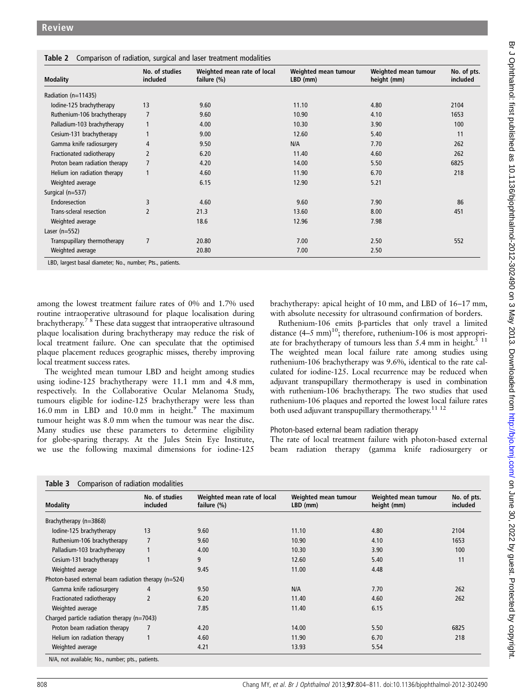| <b>Modality</b>               | No. of studies<br>included | Weighted mean rate of local<br>failure (%) | Weighted mean tumour<br>$LBD$ (mm) | Weighted mean tumour<br>height (mm) | No. of pts.<br>included |
|-------------------------------|----------------------------|--------------------------------------------|------------------------------------|-------------------------------------|-------------------------|
| Radiation (n=11435)           |                            |                                            |                                    |                                     |                         |
| Iodine-125 brachytherapy      | 13                         | 9.60                                       | 11.10                              | 4.80                                | 2104                    |
| Ruthenium-106 brachytherapy   | $\overline{7}$             | 9.60                                       | 10.90                              | 4.10                                | 1653                    |
| Palladium-103 brachytherapy   |                            | 4.00                                       | 10.30                              | 3.90                                | 100                     |
| Cesium-131 brachytherapy      |                            | 9.00                                       | 12.60                              | 5.40                                | 11                      |
| Gamma knife radiosurgery      | 4                          | 9.50                                       | N/A                                | 7.70                                | 262                     |
| Fractionated radiotherapy     | 2                          | 6.20                                       | 11.40                              | 4.60                                | 262                     |
| Proton beam radiation therapy | 7                          | 4.20                                       | 14.00                              | 5.50                                | 6825                    |
| Helium ion radiation therapy  | 1                          | 4.60                                       | 11.90                              | 6.70                                | 218                     |
| Weighted average              |                            | 6.15                                       | 12.90                              | 5.21                                |                         |
| Surgical $(n=537)$            |                            |                                            |                                    |                                     |                         |
| Endoresection                 | 3                          | 4.60                                       | 9.60                               | 7.90                                | 86                      |
| Trans-scleral resection       | $\overline{2}$             | 21.3                                       | 13.60                              | 8.00                                | 451                     |
| Weighted average              |                            | 18.6                                       | 12.96                              | 7.98                                |                         |
| Laser $(n=552)$               |                            |                                            |                                    |                                     |                         |
| Transpupillary thermotherapy  | 7                          | 20.80                                      | 7.00                               | 2.50                                | 552                     |
| Weighted average              |                            | 20.80                                      | 7.00                               | 2.50                                |                         |

LBD, largest basal diameter; No., number; Pts., patients.

among the lowest treatment failure rates of 0% and 1.7% used routine intraoperative ultrasound for plaque localisation during brachytherapy. $\frac{7}{8}$  These data suggest that intraoperative ultrasound plaque localisation during brachytherapy may reduce the risk of local treatment failure. One can speculate that the optimised plaque placement reduces geographic misses, thereby improving local treatment success rates.

The weighted mean tumour LBD and height among studies using iodine-125 brachytherapy were 11.1 mm and 4.8 mm, respectively. In the Collaborative Ocular Melanoma Study, tumours eligible for iodine-125 brachytherapy were less than 16.0 mm in LBD and 10.0 mm in height. $9$  The maximum tumour height was 8.0 mm when the tumour was near the disc. Many studies use these parameters to determine eligibility for globe-sparing therapy. At the Jules Stein Eye Institute, we use the following maximal dimensions for iodine-125

brachytherapy: apical height of 10 mm, and LBD of 16–17 mm, with absolute necessity for ultrasound confirmation of borders.

Ruthenium-106 emits β-particles that only travel a limited distance  $(4-5 \text{ mm})^{10}$ ; therefore, ruthenium-106 is most appropriate for brachytherapy of tumours less than 5.4 mm in height.<sup>5 11</sup> The weighted mean local failure rate among studies using ruthenium-106 brachytherapy was 9.6%, identical to the rate calculated for iodine-125. Local recurrence may be reduced when adjuvant transpupillary thermotherapy is used in combination with ruthenium-106 brachytherapy. The two studies that used ruthenium-106 plaques and reported the lowest local failure rates both used adjuvant transpupillary thermotherapy.<sup>11 12</sup>

### Photon-based external beam radiation therapy

The rate of local treatment failure with photon-based external beam radiation therapy (gamma knife radiosurgery or

| Table 3 | Comparison of radiation modalities |  |  |
|---------|------------------------------------|--|--|
|---------|------------------------------------|--|--|

| <b>Modality</b>                                      | No. of studies<br>included | Weighted mean rate of local<br>failure (%) | Weighted mean tumour<br>LBD (mm) | Weighted mean tumour<br>height (mm) | No. of pts.<br>included |
|------------------------------------------------------|----------------------------|--------------------------------------------|----------------------------------|-------------------------------------|-------------------------|
| Brachytherapy (n=3868)                               |                            |                                            |                                  |                                     |                         |
| Iodine-125 brachytherapy                             | 13                         | 9.60                                       | 11.10                            | 4.80                                | 2104                    |
| Ruthenium-106 brachytherapy                          | 7                          | 9.60                                       | 10.90                            | 4.10                                | 1653                    |
| Palladium-103 brachytherapy                          |                            | 4.00                                       | 10.30                            | 3.90                                | 100                     |
| Cesium-131 brachytherapy                             |                            | 9                                          | 12.60                            | 5.40                                | 11                      |
| Weighted average                                     |                            | 9.45                                       | 11.00                            | 4.48                                |                         |
| Photon-based external beam radiation therapy (n=524) |                            |                                            |                                  |                                     |                         |
| Gamma knife radiosurgery                             | 4                          | 9.50                                       | N/A                              | 7.70                                | 262                     |
| Fractionated radiotherapy                            | 2                          | 6.20                                       | 11.40                            | 4.60                                | 262                     |
| Weighted average                                     |                            | 7.85                                       | 11.40                            | 6.15                                |                         |
| Charged particle radiation therapy $(n=7043)$        |                            |                                            |                                  |                                     |                         |
| Proton beam radiation therapy                        | 7                          | 4.20                                       | 14.00                            | 5.50                                | 6825                    |
| Helium ion radiation therapy                         |                            | 4.60                                       | 11.90                            | 6.70                                | 218                     |
| Weighted average                                     |                            | 4.21                                       | 13.93                            | 5.54                                |                         |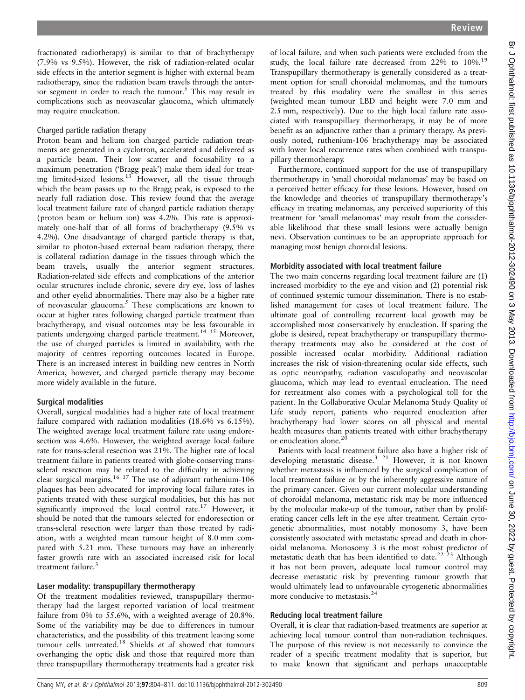fractionated radiotherapy) is similar to that of brachytherapy (7.9% vs 9.5%). However, the risk of radiation-related ocular side effects in the anterior segment is higher with external beam radiotherapy, since the radiation beam travels through the anterior segment in order to reach the tumour.<sup>5</sup> This may result in complications such as neovascular glaucoma, which ultimately

# Charged particle radiation therapy

may require enucleation.

Proton beam and helium ion charged particle radiation treatments are generated in a cyclotron, accelerated and delivered as a particle beam. Their low scatter and focusability to a maximum penetration ('Bragg peak') make them ideal for treating limited-sized lesions.<sup>13</sup> However, all the tissue through which the beam passes up to the Bragg peak, is exposed to the nearly full radiation dose. This review found that the average local treatment failure rate of charged particle radiation therapy (proton beam or helium ion) was 4.2%. This rate is approximately one-half that of all forms of brachytherapy (9.5% vs 4.2%). One disadvantage of charged particle therapy is that, similar to photon-based external beam radiation therapy, there is collateral radiation damage in the tissues through which the beam travels, usually the anterior segment structures. Radiation-related side effects and complications of the anterior ocular structures include chronic, severe dry eye, loss of lashes and other eyelid abnormalities. There may also be a higher rate of neovascular glaucoma.<sup>5</sup> These complications are known to occur at higher rates following charged particle treatment than brachytherapy, and visual outcomes may be less favourable in patients undergoing charged particle treatment.<sup>14 15</sup> Moreover, the use of charged particles is limited in availability, with the majority of centres reporting outcomes located in Europe. There is an increased interest in building new centres in North America, however, and charged particle therapy may become more widely available in the future.

# Surgical modalities

Overall, surgical modalities had a higher rate of local treatment failure compared with radiation modalities (18.6% vs 6.15%). The weighted average local treatment failure rate using endoresection was 4.6%. However, the weighted average local failure rate for trans-scleral resection was 21%. The higher rate of local treatment failure in patients treated with globe-conserving transscleral resection may be related to the difficulty in achieving clear surgical margins.<sup>16 17</sup> The use of adjuvant ruthenium-106 plaques has been advocated for improving local failure rates in patients treated with these surgical modalities, but this has not significantly improved the local control rate.<sup>17</sup> However, it should be noted that the tumours selected for endoresection or trans-scleral resection were larger than those treated by radiation, with a weighted mean tumour height of 8.0 mm compared with 5.21 mm. These tumours may have an inherently faster growth rate with an associated increased risk for local treatment failure.<sup>3</sup>

# Laser modality: transpupillary thermotherapy

Of the treatment modalities reviewed, transpupillary thermotherapy had the largest reported variation of local treatment failure from 0% to 55.6%, with a weighted average of 20.8%. Some of the variability may be due to differences in tumour characteristics, and the possibility of this treatment leaving some tumour cells untreated.<sup>18</sup> Shields  $et$  al showed that tumours overhanging the optic disk and those that required more than three transpupillary thermotherapy treatments had a greater risk

of local failure, and when such patients were excluded from the study, the local failure rate decreased from 22% to 10%.<sup>19</sup> Transpupillary thermotherapy is generally considered as a treatment option for small choroidal melanomas, and the tumours treated by this modality were the smallest in this series (weighted mean tumour LBD and height were 7.0 mm and 2.5 mm, respectively). Due to the high local failure rate associated with transpupillary thermotherapy, it may be of more benefit as an adjunctive rather than a primary therapy. As previously noted, ruthenium-106 brachytherapy may be associated with lower local recurrence rates when combined with transpupillary thermotherapy.

Furthermore, continued support for the use of transpupillary thermotherapy in 'small choroidal melanomas' may be based on a perceived better efficacy for these lesions. However, based on the knowledge and theories of transpupillary thermotherapy's efficacy in treating melanomas, any perceived superiority of this treatment for 'small melanomas' may result from the considerable likelihood that these small lesions were actually benign nevi. Observation continues to be an appropriate approach for managing most benign choroidal lesions.

### Morbidity associated with local treatment failure

The two main concerns regarding local treatment failure are (1) increased morbidity to the eye and vision and (2) potential risk of continued systemic tumour dissemination. There is no established management for cases of local treatment failure. The ultimate goal of controlling recurrent local growth may be accomplished most conservatively by enucleation. If sparing the globe is desired, repeat brachytherapy or transpupillary thermotherapy treatments may also be considered at the cost of possible increased ocular morbidity. Additional radiation increases the risk of vision-threatening ocular side effects, such as optic neuropathy, radiation vasculopathy and neovascular glaucoma, which may lead to eventual enucleation. The need for retreatment also comes with a psychological toll for the patient. In the Collaborative Ocular Melanoma Study Quality of Life study report, patients who required enucleation after brachytherapy had lower scores on all physical and mental health measures than patients treated with either brachytherapy or enucleation alone.<sup>20</sup>

Patients with local treatment failure also have a higher risk of developing metastatic disease.<sup>3 21</sup> However, it is not known whether metastasis is influenced by the surgical complication of local treatment failure or by the inherently aggressive nature of the primary cancer. Given our current molecular understanding of choroidal melanoma, metastatic risk may be more influenced by the molecular make-up of the tumour, rather than by proliferating cancer cells left in the eye after treatment. Certain cytogenetic abnormalities, most notably monosomy 3, have been consistently associated with metastatic spread and death in choroidal melanoma. Monosomy 3 is the most robust predictor of metastatic death that has been identified to date.<sup>22 23</sup> Although it has not been proven, adequate local tumour control may decrease metastatic risk by preventing tumour growth that would ultimately lead to unfavourable cytogenetic abnormalities more conducive to metastasis.<sup>24</sup>

# Reducing local treatment failure

Overall, it is clear that radiation-based treatments are superior at achieving local tumour control than non-radiation techniques. The purpose of this review is not necessarily to convince the reader of a specific treatment modality that is superior, but to make known that significant and perhaps unacceptable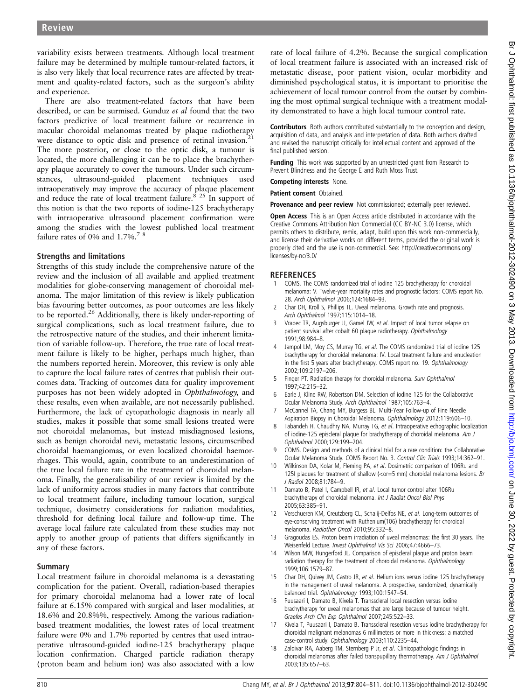variability exists between treatments. Although local treatment failure may be determined by multiple tumour-related factors, it is also very likely that local recurrence rates are affected by treatment and quality-related factors, such as the surgeon's ability and experience.

There are also treatment-related factors that have been described, or can be surmised. Gunduz et al found that the two factors predictive of local treatment failure or recurrence in macular choroidal melanomas treated by plaque radiotherapy were distance to optic disk and presence of retinal invasion. $2<sup>1</sup>$ The more posterior, or close to the optic disk, a tumour is located, the more challenging it can be to place the brachytherapy plaque accurately to cover the tumours. Under such circumstances, ultrasound-guided placement techniques used intraoperatively may improve the accuracy of plaque placement and reduce the rate of local treatment failure.<sup>8</sup> <sup>25</sup> In support of this notion is that the two reports of iodine-125 brachytherapy with intraoperative ultrasound placement confirmation were among the studies with the lowest published local treatment failure rates of 0% and 1.7%.<sup>78</sup>

# Strengths and limitations

Strengths of this study include the comprehensive nature of the review and the inclusion of all available and applied treatment modalities for globe-conserving management of choroidal melanoma. The major limitation of this review is likely publication bias favouring better outcomes, as poor outcomes are less likely to be reported.<sup>26</sup> Additionally, there is likely under-reporting of surgical complications, such as local treatment failure, due to the retrospective nature of the studies, and their inherent limitation of variable follow-up. Therefore, the true rate of local treatment failure is likely to be higher, perhaps much higher, than the numbers reported herein. Moreover, this review is only able to capture the local failure rates of centres that publish their outcomes data. Tracking of outcomes data for quality improvement purposes has not been widely adopted in Ophthalmology, and these results, even when available, are not necessarily published. Furthermore, the lack of cytopathologic diagnosis in nearly all studies, makes it possible that some small lesions treated were not choroidal melanomas, but instead misdiagnosed lesions, such as benign choroidal nevi, metastatic lesions, circumscribed choroidal haemangiomas, or even localized choroidal haemorrhages. This would, again, contribute to an underestimation of the true local failure rate in the treatment of choroidal melanoma. Finally, the generalisability of our review is limited by the lack of uniformity across studies in many factors that contribute to local treatment failure, including tumour location, surgical technique, dosimetry considerations for radiation modalities, threshold for defining local failure and follow-up time. The average local failure rate calculated from these studies may not apply to another group of patients that differs significantly in any of these factors.

# Summary

Local treatment failure in choroidal melanoma is a devastating complication for the patient. Overall, radiation-based therapies for primary choroidal melanoma had a lower rate of local failure at 6.15% compared with surgical and laser modalities, at 18.6% and 20.8%%, respectively. Among the various radiationbased treatment modalities, the lowest rates of local treatment failure were 0% and 1.7% reported by centres that used intraoperative ultrasound-guided iodine-125 brachytherapy plaque location confirmation. Charged particle radiation therapy (proton beam and helium ion) was also associated with a low

rate of local failure of 4.2%. Because the surgical complication of local treatment failure is associated with an increased risk of metastatic disease, poor patient vision, ocular morbidity and diminished psychological status, it is important to prioritise the achievement of local tumour control from the outset by combining the most optimal surgical technique with a treatment modality demonstrated to have a high local tumour control rate.

Contributors Both authors contributed substantially to the conception and design, acquisition of data, and analysis and interpretation of data. Both authors drafted and revised the manuscript critically for intellectual content and approved of the final published version.

Funding This work was supported by an unrestricted grant from Research to Prevent Blindness and the George E and Ruth Moss Trust.

### Competing interests None.

Patient consent Obtained.

Provenance and peer review Not commissioned; externally peer reviewed.

Open Access This is an Open Access article distributed in accordance with the Creative Commons Attribution Non Commercial (CC BY-NC 3.0) license, which permits others to distribute, remix, adapt, build upon this work non-commercially, and license their derivative works on different terms, provided the original work is properly cited and the use is non-commercial. See: http://creativecommons.org/ licenses/by-nc/3.0/

# **REFERENCES**

- 1 COMS. The COMS randomized trial of iodine 125 brachytherapy for choroidal melanoma: V. Twelve-year mortality rates and prognostic factors: COMS report No. 28. Arch Ophthalmol 2006;124:1684–93.
- 2 Char DH, Kroll S, Phillips TL. Uveal melanoma. Growth rate and prognosis. Arch Ophthalmol 1997;115:1014–18.
- 3 Vrabec TR, Augsburger JJ, Gamel JW, et al. Impact of local tumor relapse on patient survival after cobalt 60 plaque radiotherapy. Ophthalmology 1991;98:984–8.
- 4 Jampol LM, Moy CS, Murray TG, et al. The COMS randomized trial of iodine 125 brachytherapy for choroidal melanoma: IV. Local treatment failure and enucleation in the first 5 years after brachytherapy. COMS report no. 19. Ophthalmology 2002;109:2197–206.
- 5 Finger PT. Radiation therapy for choroidal melanoma. Surv Ophthalmol 1997;42:215–32.
- Earle J, Kline RW, Robertson DM. Selection of iodine 125 for the Collaborative Ocular Melanoma Study. Arch Ophthalmol 1987;105:763–4.
- 7 McCannel TA, Chang MY, Burgess BL. Multi-Year Follow-up of Fine Needle Aspiration Biopsy in Choroidal Melanoma. Ophthalmology 2012;119:606–10.
- 8 Tabandeh H, Chaudhry NA, Murray TG, et al. Intraoperative echographic localization of iodine-125 episcleral plaque for brachytherapy of choroidal melanoma. Am J Ophthalmol 2000;129:199–204.
- 9 COMS. Design and methods of a clinical trial for a rare condition: the Collaborative Ocular Melanoma Study. COMS Report No. 3. Control Clin Trials 1993;14:362–91.
- 10 Wilkinson DA, Kolar M, Fleming PA, et al. Dosimetric comparison of 106Ru and 125I plaques for treatment of shallow (<or=5 mm) choroidal melanoma lesions. Br J Radiol 2008;81:784–9.
- Damato B, Patel I, Campbell IR, et al. Local tumor control after 106Ru brachytherapy of choroidal melanoma. Int J Radiat Oncol Biol Phys 2005;63:385–91.
- 12 Verschueren KM, Creutzberg CL, Schalij-Delfos NE, et al. Long-term outcomes of eye-conserving treatment with Ruthenium(106) brachytherapy for choroidal melanoma. Radiother Oncol 2010;95:332–8.
- 13 Gragoudas ES. Proton beam irradiation of uveal melanomas: the first 30 years. The Weisenfeld Lecture. Invest Ophthalmol Vis Sci 2006;47:4666–73.
- 14 Wilson MW, Hungerford JL. Comparison of episcleral plaque and proton beam radiation therapy for the treatment of choroidal melanoma. Ophthalmology 1999;106:1579–87.
- 15 Char DH, Quivey JM, Castro JR, et al. Helium ions versus iodine 125 brachytherapy in the management of uveal melanoma. A prospective, randomized, dynamically balanced trial. Ophthalmology 1993;100:1547–54.
- 16 Puusaari I, Damato B, Kivela T. Transscleral local resection versus iodine brachytherapy for uveal melanomas that are large because of tumour height. Graefes Arch Clin Exp Ophthalmol 2007;245:522–33.
- 17 Kivela T, Puusaari I, Damato B. Transscleral resection versus iodine brachytherapy for choroidal malignant melanomas 6 millimeters or more in thickness: a matched case-control study. Ophthalmology 2003;110:2235–44.
- Zaldivar RA, Aaberg TM, Sternberg P Jr, et al. Clinicopathologic findings in choroidal melanomas after failed transpupillary thermotherapy. Am J Ophthalmol 2003;135:657–63.